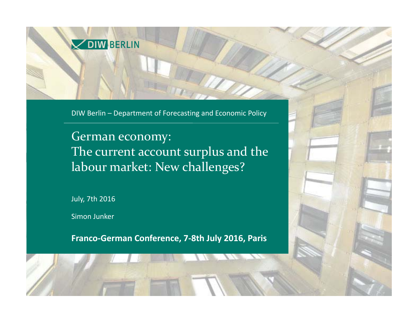

DIW Berlin – Department of Forecasting and Economic Policy

German economy: The current account surplus and the labour market: New challenges?

July, 7th 2016

Simon Junker

**Franco‐German Conference, 7‐8th July 2016, Paris**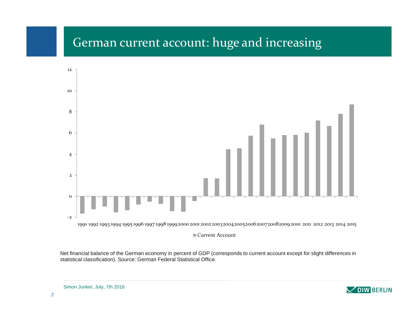#### German current account: huge and increasing



Net financial balance of the German economy in percent of GDP (corresponds to current account except for slight differences in statistical classification). Source: German Federal Statistical Office.

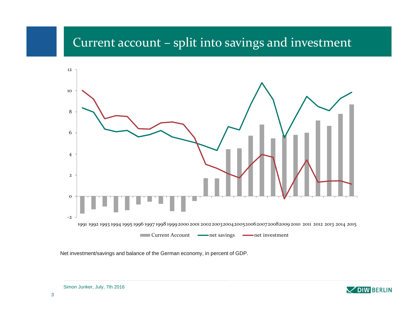# Current account – split into savings and investment



Net investment/savings and balance of the German economy, in percent of GDP.



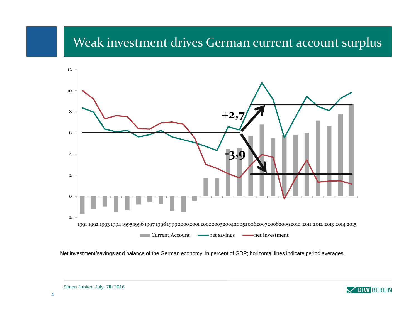#### Weak investment drives German current account surplus



Net investment/savings and balance of the German economy, in percent of GDP; horizontal lines indicate period averages.

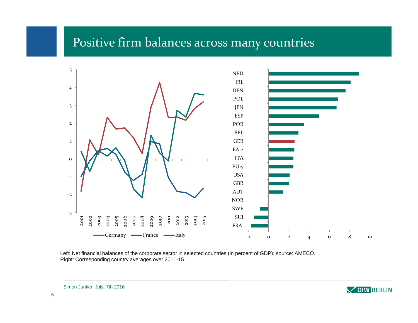#### Positive firm balances across many countries



Left: Net financial balances of the corporate sector in selected countries (in percent of GDP); source: AMECO. Right: Corresponding country averages over 2011-15.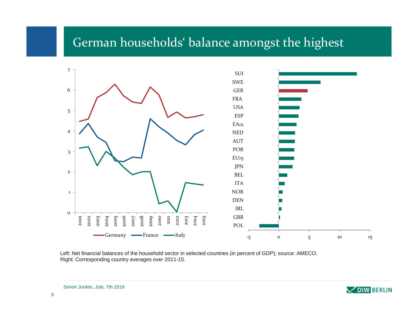#### German households' balance amongs<sup>t</sup> the highest



Left: Net financial balances of the household sector in selected countries (in percent of GDP); source: AMECO. Right: Corresponding country averages over 2011-15.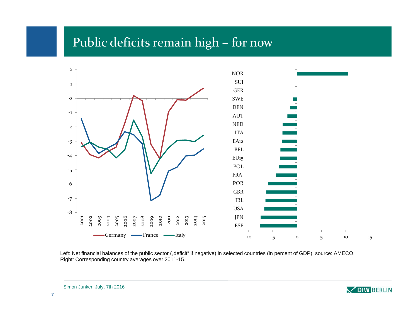#### Public deficits remain high – for now



Left: Net financial balances of the public sector ("deficit" if negative) in selected countries (in percent of GDP); source: AMECO. Right: Corresponding country averages over 2011-15.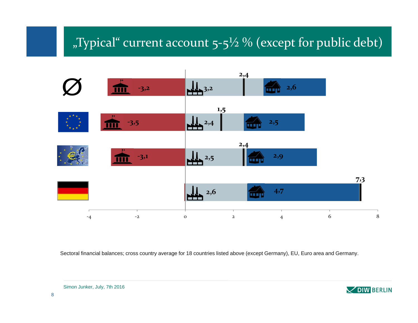# "Typical" current account  $5-5\frac{1}{2}$ % (except for public debt)



Sectoral financial balances; cross country average for 18 countries listed above (except Germany), EU, Euro area and Germany.

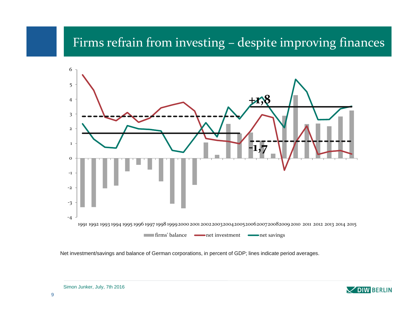## Firms refrain from investing – despite improving finances



Net investment/savings and balance of German corporations, in percent of GDP; lines indicate period averages.

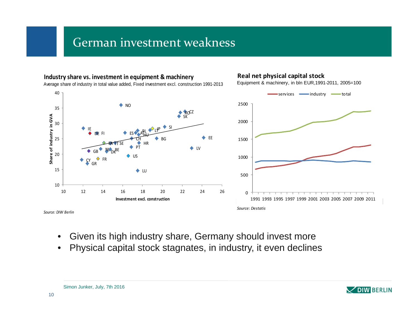#### German investment weakness



- •Given its high industry share, Germany should invest more
- •Physical capital stock stagnates, in industry, it even declines

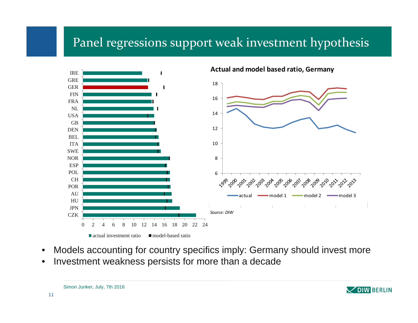## Panel regressions suppor<sup>t</sup> weak investment hypothesis



- •Models accounting for country specifics imply: Germany should invest more
- •Investment weakness persists for more than a decade



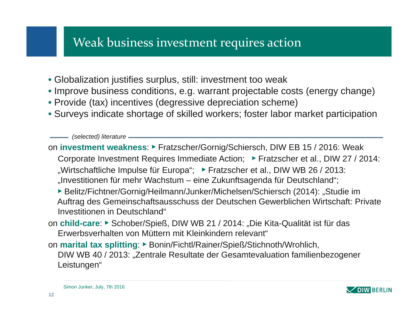## Weak business investment requires action

- Globalization justifies surplus, still: investment too weak
- Improve business conditions, e.g. warrant projectable costs (energy change)
- Provide (tax) incentives (degressive depreciation scheme)
- Surveys indicate shortage of skilled workers; foster labor market participation

*(selected) literature*

on **investment weakness**: ► Fratzscher/Gornig/Schiersch, DIW EB 15 / 2016: Weak

- Corporate Investment Requires Immediate Action; ► Fratzscher et al., DIW 27 / 2014:
- "Wirtschaftliche Impulse für Europa"; ▶ Fratzscher et al., DIW WB 26 / 2013.
- "Investitionen für mehr Wachstum eine Zukunftsagenda für Deutschland";
- ► Belitz/Fichtner/Gornig/Heilmann/Junker/Michelsen/Schiersch (2014): "Studie im Auftrag des Gemeinschaftsausschuss der Deutschen Gewerblichen Wirtschaft: Private Investitionen in Deutschland"
- on **child-care**: ► Schober/Spieß, DIW WB 21 / 2014: "Die Kita-Qualität ist für das Erwerbsverhalten von Müttern mit Kleinkindern relevant"
- on **marital tax splitting**: ► Bonin/Fichtl/Rainer/Spieß/Stichnoth/Wrohlich, DIW WB 40 / 2013: "Zentrale Resultate der Gesamtevaluation familienbezogener Leistungen"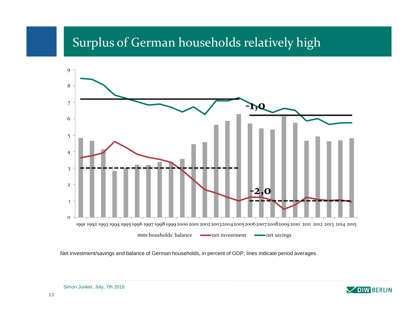# Surplus of German households relatively high



Net investment/savings and balance of German households, in percent of GDP; lines indicate period averages.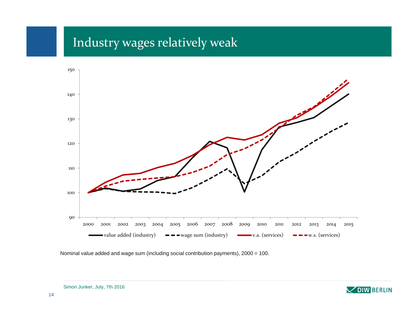# Industry wages relatively weak



Nominal value added and wage sum (including social contribution payments), 2000 = 100.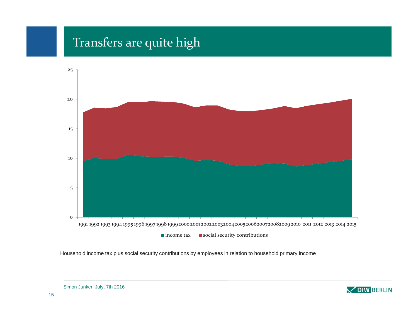#### Transfers are quite high



Household income tax plus social security contributions by employees in relation to household primary income

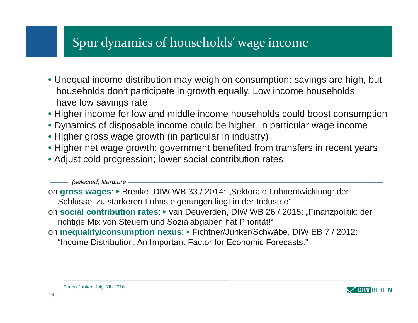# Spur dynamics of households' wage income

- Unequal income distribution may weigh on consumption: savings are high, but households don't participate in growth equally. Low income households have low savings rate
- Higher income for low and middle income households could boost consumption
- Dynamics of disposable income could be higher, in particular wage income
- Higher gross wage growth (in particular in industry)
- Higher net wage growth: government benefited from transfers in recent years
- Adjust cold progression; lower social contribution rates

*(selected) literature*

on **gross wages**: ► Brenke, DIW WB 33 / 2014: "Sektorale Lohnentwicklung: der Schlüssel zu stärkeren Lohnsteigerungen liegt in der Industrie" on **social contribution rates**: ► van Deuverden, DIW WB 26 / 2015: "Finanzpolitik: der richtige Mix von Steuern und Sozialabgaben hat Priorität!" on **inequality/consumption nexus**: ► Fichtner/Junker/Schwäbe, DIW EB 7 / 2012: "Income Distribution: An Important Factor for Economic Forecasts."

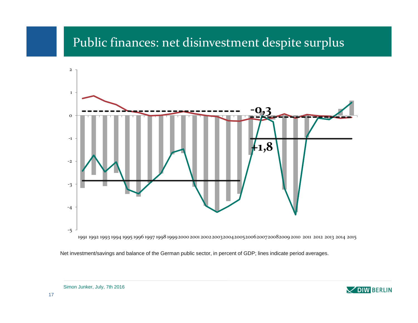#### Public finances: net disinvestment despite surplus



Net investment/savings and balance of the German public sector, in percent of GDP; lines indicate period averages.

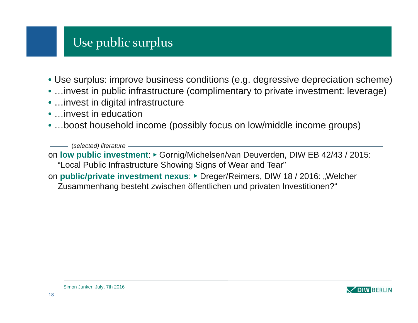## Use public surplus

- Use surplus: improve business conditions (e.g. degressive depreciation scheme)
- …invest in public infrastructure (complimentary to private investment: leverage)
- …invest in digital infrastructure
- …invest in education
- …boost household income (possibly focus on low/middle income groups)

(*selected) literature*

on **low public investment**: ► Gornig/Michelsen/van Deuverden, DIW EB 42/43 / 2015: "Local Public Infrastructure Showing Signs of Wear and Tear"

on **public/private investment nexus**: ► Dreger/Reimers, DIW 18 / 2016: "Welcher

Zusammenhang besteht zwischen öffentlichen und privaten Investitionen?"